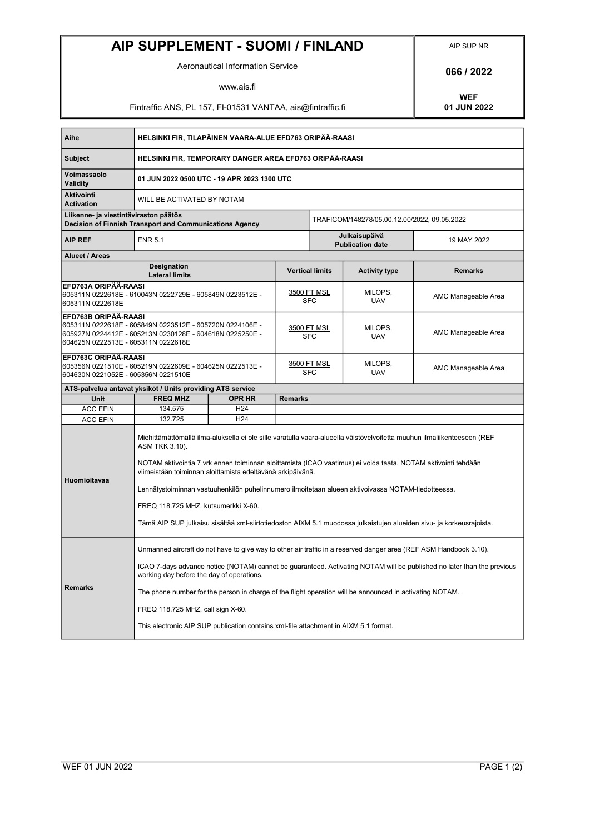## AIP SUPPLEMENT - SUOMI / FINLAND AIP SUP NR

Aeronautical Information Service **1876 1876 1886 1987** 

www.ais.fi

Fintraffic ANS, PL 157, FI-01531 VANTAA, ais@fintraffic.fi

WEF<br>01 JUN 2022

| Aihe                                                                                                                                                                                         | HELSINKI FIR, TILAPÄINEN VAARA-ALUE EFD763 ORIPÄÄ-RAASI                                                                                                                                                                                                                                                                                                                                                                                                                                                                                                                                       |                                          |                                  |                                              |                       |                     |
|----------------------------------------------------------------------------------------------------------------------------------------------------------------------------------------------|-----------------------------------------------------------------------------------------------------------------------------------------------------------------------------------------------------------------------------------------------------------------------------------------------------------------------------------------------------------------------------------------------------------------------------------------------------------------------------------------------------------------------------------------------------------------------------------------------|------------------------------------------|----------------------------------|----------------------------------------------|-----------------------|---------------------|
| <b>Subject</b>                                                                                                                                                                               | HELSINKI FIR, TEMPORARY DANGER AREA EFD763 ORIPÄÄ-RAASI                                                                                                                                                                                                                                                                                                                                                                                                                                                                                                                                       |                                          |                                  |                                              |                       |                     |
| Voimassaolo<br><b>Validity</b>                                                                                                                                                               | 01 JUN 2022 0500 UTC - 19 APR 2023 1300 UTC                                                                                                                                                                                                                                                                                                                                                                                                                                                                                                                                                   |                                          |                                  |                                              |                       |                     |
| <b>Aktivointi</b><br><b>Activation</b>                                                                                                                                                       | WILL BE ACTIVATED BY NOTAM                                                                                                                                                                                                                                                                                                                                                                                                                                                                                                                                                                    |                                          |                                  |                                              |                       |                     |
| Liikenne- ja viestintäviraston päätös<br>Decision of Finnish Transport and Communications Agency                                                                                             |                                                                                                                                                                                                                                                                                                                                                                                                                                                                                                                                                                                               |                                          |                                  | TRAFICOM/148278/05.00.12.00/2022, 09.05.2022 |                       |                     |
| <b>AIP REF</b>                                                                                                                                                                               | <b>ENR 5.1</b>                                                                                                                                                                                                                                                                                                                                                                                                                                                                                                                                                                                | Julkaisupäivä<br><b>Publication date</b> |                                  |                                              | 19 MAY 2022           |                     |
| <b>Alueet / Areas</b>                                                                                                                                                                        |                                                                                                                                                                                                                                                                                                                                                                                                                                                                                                                                                                                               |                                          |                                  |                                              |                       |                     |
| <b>Designation</b><br><b>Lateral limits</b>                                                                                                                                                  |                                                                                                                                                                                                                                                                                                                                                                                                                                                                                                                                                                                               |                                          | <b>Vertical limits</b>           |                                              | <b>Activity type</b>  | <b>Remarks</b>      |
| EFD763A ORIPÄÄ-RAASI<br>605311N 0222618E                                                                                                                                                     |                                                                                                                                                                                                                                                                                                                                                                                                                                                                                                                                                                                               |                                          | <u>3500 FT MSL</u><br><b>SFC</b> |                                              | MILOPS,<br><b>UAV</b> | AMC Manageable Area |
| EFD763B ORIPÄÄ-RAASI<br>605311N  0222618E - 605849N  0223512E - 605720N  0224106E -<br>605927N   0224412E - 605213N   0230128E - 604618N   0225250E -<br>604625N 0222513E - 605311N 0222618E |                                                                                                                                                                                                                                                                                                                                                                                                                                                                                                                                                                                               |                                          | 3500 FT MSL<br><b>SFC</b>        |                                              | MILOPS,<br><b>UAV</b> | AMC Manageable Area |
| EFD763C ORIPÄÄ-RAASI                                                                                                                                                                         |                                                                                                                                                                                                                                                                                                                                                                                                                                                                                                                                                                                               |                                          | <u>3500 FT MSL</u><br><b>SFC</b> |                                              | MILOPS,<br><b>UAV</b> | AMC Manageable Area |
|                                                                                                                                                                                              | ATS-palvelua antavat yksiköt / Units providing ATS service                                                                                                                                                                                                                                                                                                                                                                                                                                                                                                                                    |                                          |                                  |                                              |                       |                     |
| Unit                                                                                                                                                                                         | <b>FREQ MHZ</b>                                                                                                                                                                                                                                                                                                                                                                                                                                                                                                                                                                               | <b>OPR HR</b>                            | <b>Remarks</b>                   |                                              |                       |                     |
| <b>ACC EFIN</b>                                                                                                                                                                              | 134.575                                                                                                                                                                                                                                                                                                                                                                                                                                                                                                                                                                                       | H <sub>24</sub>                          |                                  |                                              |                       |                     |
| <b>ACC EFIN</b>                                                                                                                                                                              | 132.725                                                                                                                                                                                                                                                                                                                                                                                                                                                                                                                                                                                       | H <sub>24</sub>                          |                                  |                                              |                       |                     |
| Huomioitavaa                                                                                                                                                                                 | Miehittämättömällä ilma-aluksella ei ole sille varatulla vaara-alueella väistövelvoitetta muuhun ilmaliikenteeseen (REF<br>ASM TKK 3.10).<br>NOTAM aktivointia 7 vrk ennen toiminnan aloittamista (ICAO vaatimus) ei voida taata. NOTAM aktivointi tehdään<br>viimeistään toiminnan aloittamista edeltävänä arkipäivänä.<br>Lennätystoiminnan vastuuhenkilön puhelinnumero ilmoitetaan alueen aktivoivassa NOTAM-tiedotteessa.<br>FREQ 118.725 MHZ, kutsumerkki X-60.<br>Tämä AIP SUP julkaisu sisältää xml-siirtotiedoston AIXM 5.1 muodossa julkaistujen alueiden sivu- ja korkeusrajoista. |                                          |                                  |                                              |                       |                     |
| <b>Remarks</b>                                                                                                                                                                               | Unmanned aircraft do not have to give way to other air traffic in a reserved danger area (REF ASM Handbook 3.10).<br>ICAO 7-days advance notice (NOTAM) cannot be guaranteed. Activating NOTAM will be published no later than the previous<br>working day before the day of operations.<br>The phone number for the person in charge of the flight operation will be announced in activating NOTAM.<br>FREQ 118.725 MHZ, call sign X-60.<br>This electronic AIP SUP publication contains xml-file attachment in AIXM 5.1 format.                                                             |                                          |                                  |                                              |                       |                     |